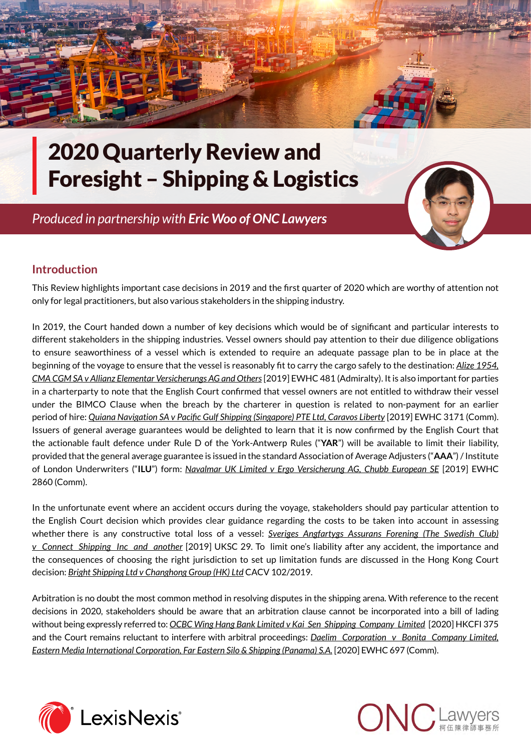

# 2020 Quarterly Review and Foresight – Shipping & Logistics

*Produced in partnership with [Eric Woo](http://www.onc.hk/en_US/eric-woo/) [of ONC Lawyers](http://www.onc.hk/en_US/dominic-wai/)*



## **Introduction**

This Review highlights important case decisions in 2019 and the first quarter of 2020 which are worthy of attention not only for legal practitioners, but also various stakeholders in the shipping industry.

In 2019, the Court handed down a number of key decisions which would be of significant and particular interests to different stakeholders in the shipping industries. Vessel owners should pay attention to their due diligence obligations to ensure seaworthiness of a vessel which is extended to require an adequate passage plan to be in place at the beginning of the voyage to ensure that the vessel is reasonably fit to carry the cargo safely to the destination: *Alize 1954, CMA CGM SA v Allianz Elementar Versicherungs AG and Others* [2019] EWHC 481 (Admiralty). It is also important for parties in a charterparty to note that the English Court confirmed that vessel owners are not entitled to withdraw their vessel under the BIMCO Clause when the breach by the charterer in question is related to non-payment for an earlier period of hire: *Quiana Navigation SA v Pacific Gulf Shipping (Singapore) PTE Ltd, Caravos Liberty* [2019] EWHC 3171 (Comm). Issuers of general average guarantees would be delighted to learn that it is now confirmed by the English Court that the actionable fault defence under Rule D of the York-Antwerp Rules ("**YAR**") will be available to limit their liability, provided that the general average guarantee is issued in the standard Association of Average Adjusters ("**AAA**") / Institute of London Underwriters ("**ILU**") form: *Navalmar UK Limited v Ergo Versicherung AG, Chubb European SE* [2019] EWHC 2860 (Comm).

In the unfortunate event where an accident occurs during the voyage, stakeholders should pay particular attention to the English Court decision which provides clear guidance regarding the costs to be taken into account in assessing whether there is any constructive total loss of a vessel: *Sveriges Angfartygs Assurans Forening (The Swedish Club) v Connect Shipping Inc and another* [2019] UKSC 29. To limit one's liability after any accident, the importance and the consequences of choosing the right jurisdiction to set up limitation funds are discussed in the Hong Kong Court decision: *Bright Shipping Ltd v Changhong Group (HK) Ltd* CACV 102/2019.

Arbitration is no doubt the most common method in resolving disputes in the shipping arena. With reference to the recent decisions in 2020, stakeholders should be aware that an arbitration clause cannot be incorporated into a bill of lading without being expressly referred to: *OCBC Wing Hang Bank Limited v Kai Sen Shipping Company Limited* [2020] HKCFI 375 and the Court remains reluctant to interfere with arbitral proceedings: *Daelim Corporation v Bonita Company Limited, Eastern Media International Corporation, Far Eastern Silo & Shipping (Panama) S.A.* [2020] EWHC 697 (Comm).



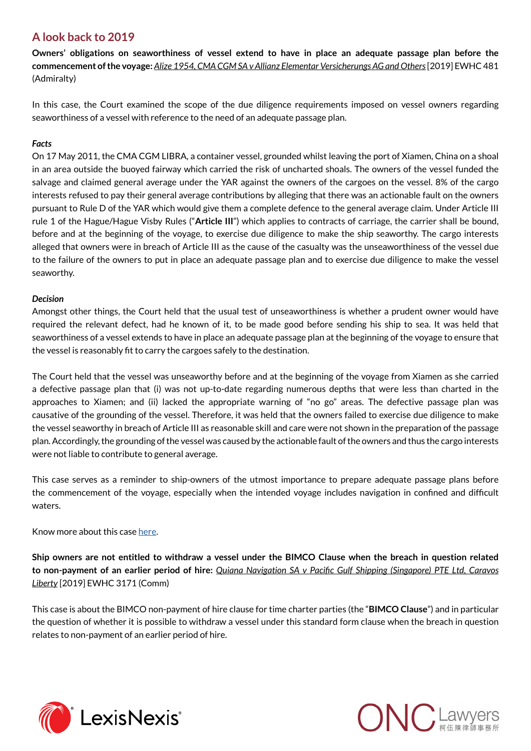## **A look back to 2019**

**Owners' obligations on seaworthiness of vessel extend to have in place an adequate passage plan before the commencement of the voyage:** *Alize 1954, CMA CGM SA v Allianz Elementar Versicherungs AG and Others* [2019] EWHC 481 (Admiralty)

In this case, the Court examined the scope of the due diligence requirements imposed on vessel owners regarding seaworthiness of a vessel with reference to the need of an adequate passage plan.

#### *Facts*

On 17 May 2011, the CMA CGM LIBRA, a container vessel, grounded whilst leaving the port of Xiamen, China on a shoal in an area outside the buoyed fairway which carried the risk of uncharted shoals. The owners of the vessel funded the salvage and claimed general average under the YAR against the owners of the cargoes on the vessel. 8% of the cargo interests refused to pay their general average contributions by alleging that there was an actionable fault on the owners pursuant to Rule D of the YAR which would give them a complete defence to the general average claim. Under Article III rule 1 of the Hague/Hague Visby Rules ("**Article III**") which applies to contracts of carriage, the carrier shall be bound, before and at the beginning of the voyage, to exercise due diligence to make the ship seaworthy. The cargo interests alleged that owners were in breach of Article III as the cause of the casualty was the unseaworthiness of the vessel due to the failure of the owners to put in place an adequate passage plan and to exercise due diligence to make the vessel seaworthy.

#### *Decision*

Amongst other things, the Court held that the usual test of unseaworthiness is whether a prudent owner would have required the relevant defect, had he known of it, to be made good before sending his ship to sea. It was held that seaworthiness of a vessel extends to have in place an adequate passage plan at the beginning of the voyage to ensure that the vessel is reasonably fit to carry the cargoes safely to the destination.

The Court held that the vessel was unseaworthy before and at the beginning of the voyage from Xiamen as she carried a defective passage plan that (i) was not up-to-date regarding numerous depths that were less than charted in the approaches to Xiamen; and (ii) lacked the appropriate warning of "no go" areas. The defective passage plan was causative of the grounding of the vessel. Therefore, it was held that the owners failed to exercise due diligence to make the vessel seaworthy in breach of Article III as reasonable skill and care were not shown in the preparation of the passage plan. Accordingly, the grounding of the vessel was caused by the actionable fault of the owners and thus the cargo interests were not liable to contribute to general average.

This case serves as a reminder to ship-owners of the utmost importance to prepare adequate passage plans before the commencement of the voyage, especially when the intended voyage includes navigation in confined and difficult waters.

Know more about this case [here](http://www.onc.hk/en_US/inadequate-passage-plan-amount-unseaworthiness-vessel/).

**Ship owners are not entitled to withdraw a vessel under the BIMCO Clause when the breach in question related to non-payment of an earlier period of hire:** *Quiana Navigation SA v Pacific Gulf Shipping (Singapore) PTE Ltd, Caravos Liberty* [2019] EWHC 3171 (Comm)

This case is about the BIMCO non-payment of hire clause for time charter parties (the "**BIMCO Clause**") and in particular the question of whether it is possible to withdraw a vessel under this standard form clause when the breach in question relates to non-payment of an earlier period of hire.



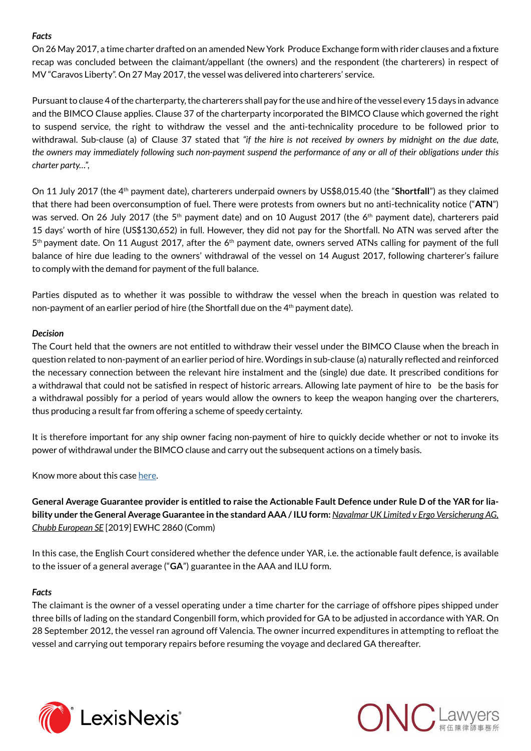#### *Facts*

On 26 May 2017, a time charter drafted on an amended New York Produce Exchange form with rider clauses and a fixture recap was concluded between the claimant/appellant (the owners) and the respondent (the charterers) in respect of MV "Caravos Liberty". On 27 May 2017, the vessel was delivered into charterers' service.

Pursuant to clause 4 of the charterparty, the charterers shall pay for the use and hire of the vessel every 15 days in advance and the BIMCO Clause applies. Clause 37 of the charterparty incorporated the BIMCO Clause which governed the right to suspend service, the right to withdraw the vessel and the anti-technicality procedure to be followed prior to withdrawal. Sub-clause (a) of Clause 37 stated that *"if the hire is not received by owners by midnight on the due date, the owners may immediately following such non-payment suspend the performance of any or all of their obligations under this charter party…",*

On 11 July 2017 (the 4th payment date), charterers underpaid owners by US\$8,015.40 (the "**Shortfall**") as they claimed that there had been overconsumption of fuel. There were protests from owners but no anti-technicality notice ("**ATN**") was served. On 26 July 2017 (the 5<sup>th</sup> payment date) and on 10 August 2017 (the 6<sup>th</sup> payment date), charterers paid 15 days' worth of hire (US\$130,652) in full. However, they did not pay for the Shortfall. No ATN was served after the  $5<sup>th</sup>$  payment date. On 11 August 2017, after the  $6<sup>th</sup>$  payment date, owners served ATNs calling for payment of the full balance of hire due leading to the owners' withdrawal of the vessel on 14 August 2017, following charterer's failure to comply with the demand for payment of the full balance.

Parties disputed as to whether it was possible to withdraw the vessel when the breach in question was related to non-payment of an earlier period of hire (the Shortfall due on the  $4<sup>th</sup>$  payment date).

#### *Decision*

The Court held that the owners are not entitled to withdraw their vessel under the BIMCO Clause when the breach in question related to non-payment of an earlier period of hire. Wordings in sub-clause (a) naturally reflected and reinforced the necessary connection between the relevant hire instalment and the (single) due date. It prescribed conditions for a withdrawal that could not be satisfied in respect of historic arrears. Allowing late payment of hire to be the basis for a withdrawal possibly for a period of years would allow the owners to keep the weapon hanging over the charterers, thus producing a result far from offering a scheme of speedy certainty.

It is therefore important for any ship owner facing non-payment of hire to quickly decide whether or not to invoke its power of withdrawal under the BIMCO clause and carry out the subsequent actions on a timely basis.

Know more about this case [here](http://www.onc.hk/wp-content/uploads/2020/02/ONCTheVoyager_2002.pdf#page=6).

**General Average Guarantee provider is entitled to raise the Actionable Fault Defence under Rule D of the YAR for liability under the General Average Guarantee in the standard AAA / ILU form:** *Navalmar UK Limited v Ergo Versicherung AG, Chubb European SE* [2019] EWHC 2860 (Comm)

In this case, the English Court considered whether the defence under YAR, i.e. the actionable fault defence, is available to the issuer of a general average ("**GA**") guarantee in the AAA and ILU form.

#### *Facts*

The claimant is the owner of a vessel operating under a time charter for the carriage of offshore pipes shipped under three bills of lading on the standard Congenbill form, which provided for GA to be adjusted in accordance with YAR. On 28 September 2012, the vessel ran aground off Valencia. The owner incurred expenditures in attempting to refloat the vessel and carrying out temporary repairs before resuming the voyage and declared GA thereafter.



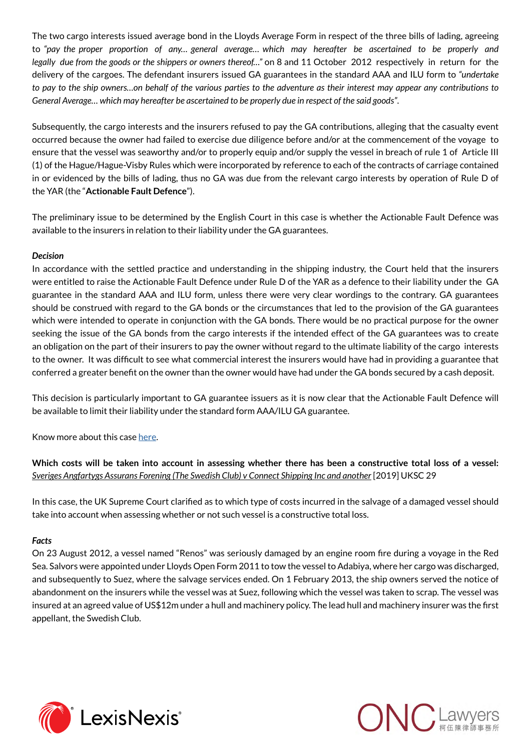The two cargo interests issued average bond in the Lloyds Average Form in respect of the three bills of lading, agreeing to *"pay the proper proportion of any… general average… which may hereafter be ascertained to be properly and legally due from the goods or the shippers or owners thereof…"* on 8 and 11 October 2012 respectively in return for the delivery of the cargoes. The defendant insurers issued GA guarantees in the standard AAA and ILU form to *"undertake to pay to the ship owners…on behalf of the various parties to the adventure as their interest may appear any contributions to General Average… which may hereafter be ascertained to be properly due in respect of the said goods"*.

Subsequently, the cargo interests and the insurers refused to pay the GA contributions, alleging that the casualty event occurred because the owner had failed to exercise due diligence before and/or at the commencement of the voyage to ensure that the vessel was seaworthy and/or to properly equip and/or supply the vessel in breach of rule 1 of Article III (1) of the Hague/Hague-Visby Rules which were incorporated by reference to each of the contracts of carriage contained in or evidenced by the bills of lading, thus no GA was due from the relevant cargo interests by operation of Rule D of the YAR (the "**Actionable Fault Defence**").

The preliminary issue to be determined by the English Court in this case is whether the Actionable Fault Defence was available to the insurers in relation to their liability under the GA guarantees.

#### *Decision*

In accordance with the settled practice and understanding in the shipping industry, the Court held that the insurers were entitled to raise the Actionable Fault Defence under Rule D of the YAR as a defence to their liability under the GA guarantee in the standard AAA and ILU form, unless there were very clear wordings to the contrary. GA guarantees should be construed with regard to the GA bonds or the circumstances that led to the provision of the GA guarantees which were intended to operate in conjunction with the GA bonds. There would be no practical purpose for the owner seeking the issue of the GA bonds from the cargo interests if the intended effect of the GA guarantees was to create an obligation on the part of their insurers to pay the owner without regard to the ultimate liability of the cargo interests to the owner. It was difficult to see what commercial interest the insurers would have had in providing a guarantee that conferred a greater benefit on the owner than the owner would have had under the GA bonds secured by a cash deposit.

This decision is particularly important to GA guarantee issuers as it is now clear that the Actionable Fault Defence will be available to limit their liability under the standard form AAA/ILU GA guarantee.

Know more about this case [here](http://www.onc.hk/wp-content/uploads/2020/02/ONCTheVoyager_2002.pdf#page=10).

**Which costs will be taken into account in assessing whether there has been a constructive total loss of a vessel:** *Sveriges Angfartygs Assurans Forening (The Swedish Club) v Connect Shipping Inc and another* [2019] UKSC 29

In this case, the UK Supreme Court clarified as to which type of costs incurred in the salvage of a damaged vessel should take into account when assessing whether or not such vessel is a constructive total loss.

#### *Facts*

On 23 August 2012, a vessel named "Renos" was seriously damaged by an engine room fire during a voyage in the Red Sea. Salvors were appointed under Lloyds Open Form 2011 to tow the vessel to Adabiya, where her cargo was discharged, and subsequently to Suez, where the salvage services ended. On 1 February 2013, the ship owners served the notice of abandonment on the insurers while the vessel was at Suez, following which the vessel was taken to scrap. The vessel was insured at an agreed value of US\$12m under a hull and machinery policy. The lead hull and machinery insurer was the first appellant, the Swedish Club.



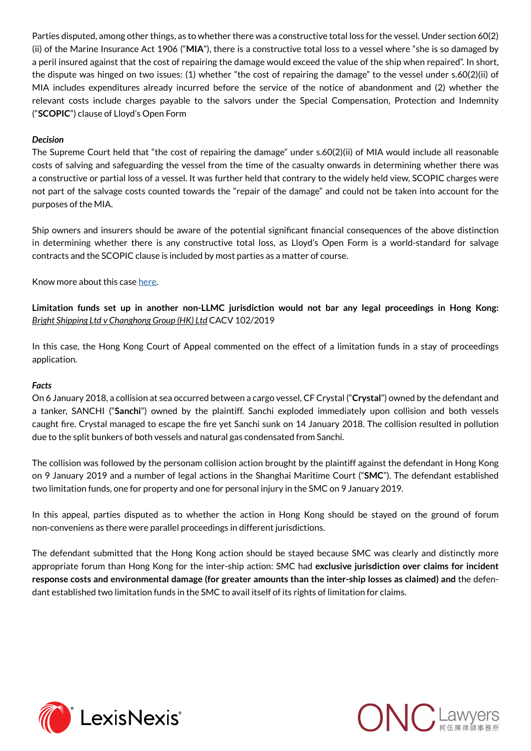Parties disputed, among other things, as to whether there was a constructive total loss for the vessel. Under section 60(2) (ii) of the Marine Insurance Act 1906 ("**MIA**"), there is a constructive total loss to a vessel where "she is so damaged by a peril insured against that the cost of repairing the damage would exceed the value of the ship when repaired". In short, the dispute was hinged on two issues: (1) whether "the cost of repairing the damage" to the vessel under s.60(2)(ii) of MIA includes expenditures already incurred before the service of the notice of abandonment and (2) whether the relevant costs include charges payable to the salvors under the Special Compensation, Protection and Indemnity ("**SCOPIC**") clause of Lloyd's Open Form

#### *Decision*

The Supreme Court held that "the cost of repairing the damage" under s.60(2)(ii) of MIA would include all reasonable costs of salving and safeguarding the vessel from the time of the casualty onwards in determining whether there was a constructive or partial loss of a vessel. It was further held that contrary to the widely held view, SCOPIC charges were not part of the salvage costs counted towards the "repair of the damage" and could not be taken into account for the purposes of the MIA.

Ship owners and insurers should be aware of the potential significant financial consequences of the above distinction in determining whether there is any constructive total loss, as Lloyd's Open Form is a world-standard for salvage contracts and the SCOPIC clause is included by most parties as a matter of course.

Know more about this case [here](http://www.onc.hk/en_US/type-costs-taken-account-assessing-whether-constructive-total-loss-vessel/).

**Limitation funds set up in another non-LLMC jurisdiction would not bar any legal proceedings in Hong Kong:** *Bright Shipping Ltd v Changhong Group (HK) Ltd* CACV 102/2019

In this case, the Hong Kong Court of Appeal commented on the effect of a limitation funds in a stay of proceedings application.

#### *Facts*

On 6 January 2018, a collision at sea occurred between a cargo vessel, CF Crystal ("**Crystal**") owned by the defendant and a tanker, SANCHI ("**Sanchi**") owned by the plaintiff. Sanchi exploded immediately upon collision and both vessels caught fire. Crystal managed to escape the fire yet Sanchi sunk on 14 January 2018. The collision resulted in pollution due to the split bunkers of both vessels and natural gas condensated from Sanchi.

The collision was followed by the personam collision action brought by the plaintiff against the defendant in Hong Kong on 9 January 2019 and a number of legal actions in the Shanghai Maritime Court ("**SMC**"). The defendant established two limitation funds, one for property and one for personal injury in the SMC on 9 January 2019.

In this appeal, parties disputed as to whether the action in Hong Kong should be stayed on the ground of forum non-conveniens as there were parallel proceedings in different jurisdictions.

The defendant submitted that the Hong Kong action should be stayed because SMC was clearly and distinctly more appropriate forum than Hong Kong for the inter-ship action: SMC had **exclusive jurisdiction over claims for incident response costs and environmental damage (for greater amounts than the inter-ship losses as claimed) and** the defendant established two limitation funds in the SMC to avail itself of its rights of limitation for claims.



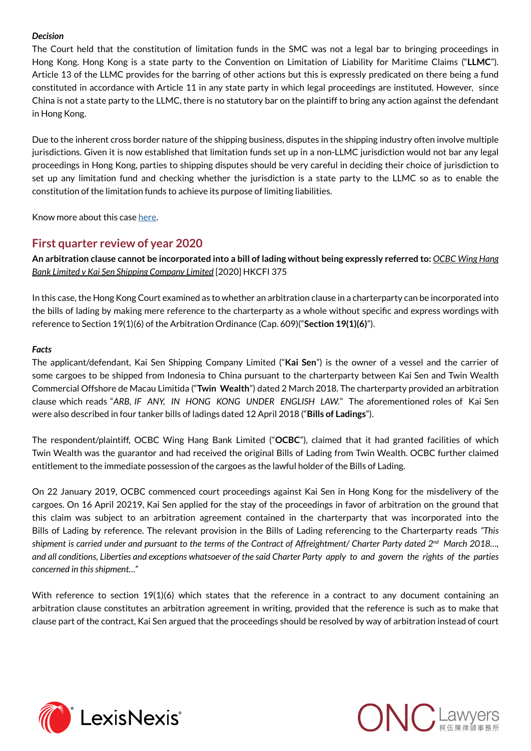#### *Decision*

The Court held that the constitution of limitation funds in the SMC was not a legal bar to bringing proceedings in Hong Kong. Hong Kong is a state party to the Convention on Limitation of Liability for Maritime Claims ("**LLMC**"). Article 13 of the LLMC provides for the barring of other actions but this is expressly predicated on there being a fund constituted in accordance with Article 11 in any state party in which legal proceedings are instituted. However, since China is not a state party to the LLMC, there is no statutory bar on the plaintiff to bring any action against the defendant in Hong Kong.

Due to the inherent cross border nature of the shipping business, disputes in the shipping industry often involve multiple jurisdictions. Given it is now established that limitation funds set up in a non-LLMC jurisdiction would not bar any legal proceedings in Hong Kong, parties to shipping disputes should be very careful in deciding their choice of jurisdiction to set up any limitation fund and checking whether the jurisdiction is a state party to the LLMC so as to enable the constitution of the limitation funds to achieve its purpose of limiting liabilities.

Know more about this case [here](http://www.onc.hk/en_US/hong-kong-courts-approach-determining-whether-proceeding-stayed-based-forum-non-conveniens/).

#### **First quarter review of year 2020**

**An arbitration clause cannot be incorporated into a bill of lading without being expressly referred to:** *OCBC Wing Hang Bank Limited v Kai Sen Shipping Company Limited* [2020] HKCFI 375

In this case, the Hong Kong Court examined as to whether an arbitration clause in a charterparty can be incorporated into the bills of lading by making mere reference to the charterparty as a whole without specific and express wordings with reference to Section 19(1)(6) of the Arbitration Ordinance (Cap. 609)("**Section 19(1)(6)**").

#### *Facts*

The applicant/defendant, Kai Sen Shipping Company Limited ("**Kai Sen**") is the owner of a vessel and the carrier of some cargoes to be shipped from Indonesia to China pursuant to the charterparty between Kai Sen and Twin Wealth Commercial Offshore de Macau Limitida ("**Twin Wealth**") dated 2 March 2018. The charterparty provided an arbitration clause which reads "*ARB, IF ANY, IN HONG KONG UNDER ENGLISH LAW.*" The aforementioned roles of Kai Sen were also described in four tanker bills of ladings dated 12 April 2018 ("**Bills of Ladings**").

The respondent/plaintiff, OCBC Wing Hang Bank Limited ("**OCBC**"), claimed that it had granted facilities of which Twin Wealth was the guarantor and had received the original Bills of Lading from Twin Wealth. OCBC further claimed entitlement to the immediate possession of the cargoes as the lawful holder of the Bills of Lading.

On 22 January 2019, OCBC commenced court proceedings against Kai Sen in Hong Kong for the misdelivery of the cargoes. On 16 April 20219, Kai Sen applied for the stay of the proceedings in favor of arbitration on the ground that this claim was subject to an arbitration agreement contained in the charterparty that was incorporated into the Bills of Lading by reference. The relevant provision in the Bills of Lading referencing to the Charterparty reads *"This shipment is carried under and pursuant to the terms of the Contract of Affreightment/ Charter Party dated 2nd March 2018…, and all conditions, Liberties and exceptions whatsoever of the said Charter Party apply to and govern the rights of the parties concerned in this shipment…"*

With reference to section 19(1)(6) which states that the reference in a contract to any document containing an arbitration clause constitutes an arbitration agreement in writing, provided that the reference is such as to make that clause part of the contract, Kai Sen argued that the proceedings should be resolved by way of arbitration instead of court



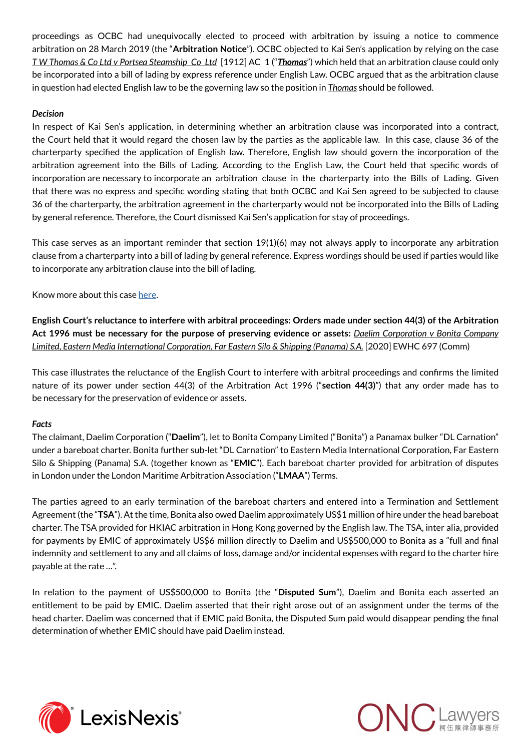proceedings as OCBC had unequivocally elected to proceed with arbitration by issuing a notice to commence arbitration on 28 March 2019 (the "**Arbitration Notice**"). OCBC objected to Kai Sen's application by relying on the case *T W Thomas & Co Ltd v Portsea Steamship Co Ltd* [1912] AC 1 ("*Thomas*") which held that an arbitration clause could only be incorporated into a bill of lading by express reference under English Law. OCBC argued that as the arbitration clause in question had elected English law to be the governing law so the position in *Thomas* should be followed.

#### *Decision*

In respect of Kai Sen's application, in determining whether an arbitration clause was incorporated into a contract, the Court held that it would regard the chosen law by the parties as the applicable law. In this case, clause 36 of the charterparty specified the application of English law. Therefore, English law should govern the incorporation of the arbitration agreement into the Bills of Lading. According to the English Law, the Court held that specific words of incorporation are necessary to incorporate an arbitration clause in the charterparty into the Bills of Lading. Given that there was no express and specific wording stating that both OCBC and Kai Sen agreed to be subjected to clause 36 of the charterparty, the arbitration agreement in the charterparty would not be incorporated into the Bills of Lading by general reference. Therefore, the Court dismissed Kai Sen's application for stay of proceedings.

This case serves as an important reminder that section 19(1)(6) may not always apply to incorporate any arbitration clause from a charterparty into a bill of lading by general reference. Express wordings should be used if parties would like to incorporate any arbitration clause into the bill of lading.

Know more about this case [here](http://www.onc.hk/en_US/can-arbitration-clause-incorporated-bill-lading-without-expressly-referred/).

**English Court's reluctance to interfere with arbitral proceedings: Orders made under section 44(3) of the Arbitration Act 1996 must be necessary for the purpose of preserving evidence or assets:** *Daelim Corporation v Bonita Company Limited, Eastern Media International Corporation, Far Eastern Silo & Shipping (Panama) S.A.* [2020] EWHC 697 (Comm)

This case illustrates the reluctance of the English Court to interfere with arbitral proceedings and confirms the limited nature of its power under section 44(3) of the Arbitration Act 1996 ("**section 44(3)**") that any order made has to be necessary for the preservation of evidence or assets.

#### *Facts*

The claimant, Daelim Corporation ("**Daelim**"), let to Bonita Company Limited ("Bonita") a Panamax bulker "DL Carnation" under a bareboat charter. Bonita further sub-let "DL Carnation" to Eastern Media International Corporation, Far Eastern Silo & Shipping (Panama) S.A. (together known as "**EMIC**"). Each bareboat charter provided for arbitration of disputes in London under the London Maritime Arbitration Association ("**LMAA**") Terms.

The parties agreed to an early termination of the bareboat charters and entered into a Termination and Settlement Agreement (the "**TSA**"). At the time, Bonita also owed Daelim approximately US\$1 million of hire under the head bareboat charter. The TSA provided for HKIAC arbitration in Hong Kong governed by the English law. The TSA, inter alia, provided for payments by EMIC of approximately US\$6 million directly to Daelim and US\$500,000 to Bonita as a "full and final indemnity and settlement to any and all claims of loss, damage and/or incidental expenses with regard to the charter hire payable at the rate …".

In relation to the payment of US\$500,000 to Bonita (the "**Disputed Sum**"), Daelim and Bonita each asserted an entitlement to be paid by EMIC. Daelim asserted that their right arose out of an assignment under the terms of the head charter. Daelim was concerned that if EMIC paid Bonita, the Disputed Sum paid would disappear pending the final determination of whether EMIC should have paid Daelim instead.



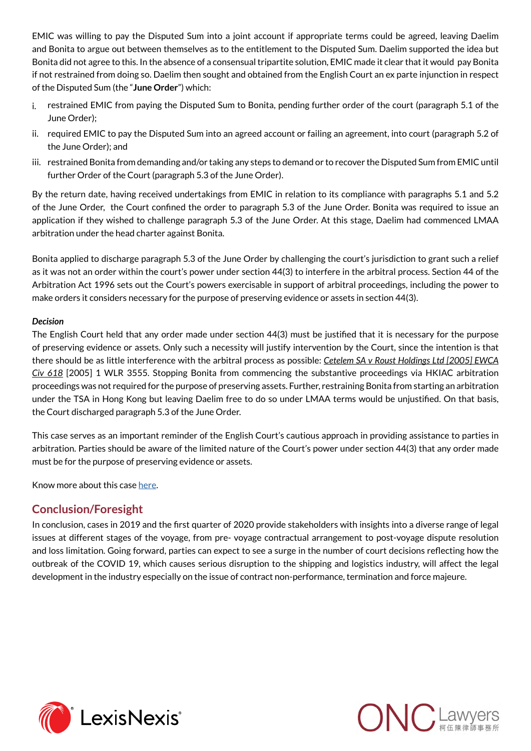EMIC was willing to pay the Disputed Sum into a joint account if appropriate terms could be agreed, leaving Daelim and Bonita to argue out between themselves as to the entitlement to the Disputed Sum. Daelim supported the idea but Bonita did not agree to this. In the absence of a consensual tripartite solution, EMIC made it clear that it would pay Bonita if not restrained from doing so. Daelim then sought and obtained from the English Court an ex parte injunction in respect of the Disputed Sum (the "**June Order**") which:

- i. restrained EMIC from paying the Disputed Sum to Bonita, pending further order of the court (paragraph 5.1 of the June Order);
- ii. required EMIC to pay the Disputed Sum into an agreed account or failing an agreement, into court (paragraph 5.2 of the June Order); and
- iii. restrained Bonita from demanding and/or taking any steps to demand or to recover the Disputed Sum from EMIC until further Order of the Court (paragraph 5.3 of the June Order).

By the return date, having received undertakings from EMIC in relation to its compliance with paragraphs 5.1 and 5.2 of the June Order, the Court confined the order to paragraph 5.3 of the June Order. Bonita was required to issue an application if they wished to challenge paragraph 5.3 of the June Order. At this stage, Daelim had commenced LMAA arbitration under the head charter against Bonita.

Bonita applied to discharge paragraph 5.3 of the June Order by challenging the court's jurisdiction to grant such a relief as it was not an order within the court's power under section 44(3) to interfere in the arbitral process. Section 44 of the Arbitration Act 1996 sets out the Court's powers exercisable in support of arbitral proceedings, including the power to make orders it considers necessary for the purpose of preserving evidence or assets in section 44(3).

#### *Decision*

The English Court held that any order made under section 44(3) must be justified that it is necessary for the purpose of preserving evidence or assets. Only such a necessity will justify intervention by the Court, since the intention is that there should be as little interference with the arbitral process as possible: *Cetelem SA v Roust Holdings Ltd [2005] EWCA Civ 618* [2005] 1 WLR 3555. Stopping Bonita from commencing the substantive proceedings via HKIAC arbitration proceedings was not required for the purpose of preserving assets. Further, restraining Bonita from starting an arbitration under the TSA in Hong Kong but leaving Daelim free to do so under LMAA terms would be unjustified. On that basis, the Court discharged paragraph 5.3 of the June Order.

This case serves as an important reminder of the English Court's cautious approach in providing assistance to parties in arbitration. Parties should be aware of the limited nature of the Court's power under section 44(3) that any order made must be for the purpose of preserving evidence or assets.

Know more about this case [here](http://www.onc.hk/wp-content/uploads/2020/05/ONCTheVoyager_2005.pdf#page=6).

### **Conclusion/Foresight**

In conclusion, cases in 2019 and the first quarter of 2020 provide stakeholders with insights into a diverse range of legal issues at different stages of the voyage, from pre- voyage contractual arrangement to post-voyage dispute resolution and loss limitation. Going forward, parties can expect to see a surge in the number of court decisions reflecting how the outbreak of the COVID 19, which causes serious disruption to the shipping and logistics industry, will affect the legal development in the industry especially on the issue of contract non-performance, termination and force majeure.